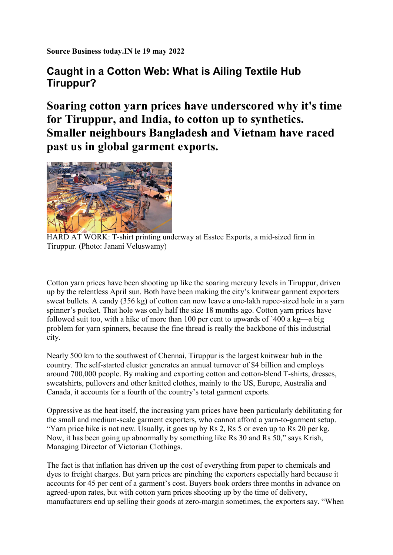Source Business today.IN le 19 may 2022

## Caught in a Cotton Web: What is Ailing Textile Hub Tiruppur?

Soaring cotton yarn prices have underscored why it's time for Tiruppur, and India, to cotton up to synthetics. Smaller neighbours Bangladesh and Vietnam have raced past us in global garment exports.



HARD AT WORK: T-shirt printing underway at Esstee Exports, a mid-sized firm in Tiruppur. (Photo: Janani Veluswamy)

Cotton yarn prices have been shooting up like the soaring mercury levels in Tiruppur, driven up by the relentless April sun. Both have been making the city's knitwear garment exporters sweat bullets. A candy (356 kg) of cotton can now leave a one-lakh rupee-sized hole in a yarn spinner's pocket. That hole was only half the size 18 months ago. Cotton yarn prices have followed suit too, with a hike of more than 100 per cent to upwards of `400 a kg—a big problem for yarn spinners, because the fine thread is really the backbone of this industrial city.

Nearly 500 km to the southwest of Chennai, Tiruppur is the largest knitwear hub in the country. The self-started cluster generates an annual turnover of \$4 billion and employs around 700,000 people. By making and exporting cotton and cotton-blend T-shirts, dresses, sweatshirts, pullovers and other knitted clothes, mainly to the US, Europe, Australia and Canada, it accounts for a fourth of the country's total garment exports.

Oppressive as the heat itself, the increasing yarn prices have been particularly debilitating for the small and medium-scale garment exporters, who cannot afford a yarn-to-garment setup. "Yarn price hike is not new. Usually, it goes up by Rs 2, Rs 5 or even up to Rs 20 per kg. Now, it has been going up abnormally by something like Rs 30 and Rs 50," says Krish, Managing Director of Victorian Clothings.

The fact is that inflation has driven up the cost of everything from paper to chemicals and dyes to freight charges. But yarn prices are pinching the exporters especially hard because it accounts for 45 per cent of a garment's cost. Buyers book orders three months in advance on agreed-upon rates, but with cotton yarn prices shooting up by the time of delivery, manufacturers end up selling their goods at zero-margin sometimes, the exporters say. "When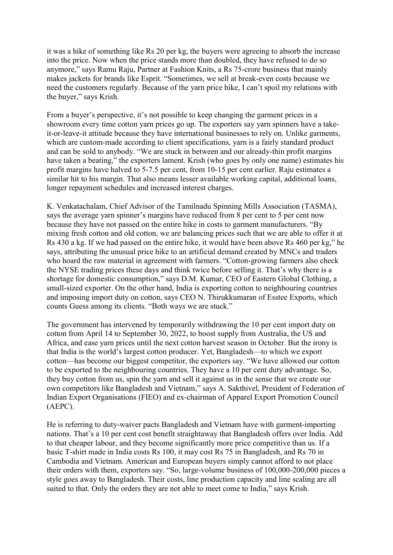it was a hike of something like Rs 20 per kg, the buyers were agreeing to absorb the increase into the price. Now when the price stands more than doubled, they have refused to do so anymore," says Ramu Raju, Partner at Fashion Knits, a Rs 75-crore business that mainly makes jackets for brands like Esprit. "Sometimes, we sell at break-even costs because we need the customers regularly. Because of the yarn price hike, I can't spoil my relations with the buyer," says Krish.

From a buyer's perspective, it's not possible to keep changing the garment prices in a showroom every time cotton yarn prices go up. The exporters say yarn spinners have a takeit-or-leave-it attitude because they have international businesses to rely on. Unlike garments, which are custom-made according to client specifications, yarn is a fairly standard product and can be sold to anybody. "We are stuck in between and our already-thin profit margins have taken a beating," the exporters lament. Krish (who goes by only one name) estimates his profit margins have halved to 5-7.5 per cent, from 10-15 per cent earlier. Raju estimates a similar hit to his margin. That also means lesser available working capital, additional loans, longer repayment schedules and increased interest charges.

K. Venkatachalam, Chief Advisor of the Tamilnadu Spinning Mills Association (TASMA), says the average yarn spinner's margins have reduced from 8 per cent to 5 per cent now because they have not passed on the entire hike in costs to garment manufacturers. "By mixing fresh cotton and old cotton, we are balancing prices such that we are able to offer it at Rs 430 a kg. If we had passed on the entire hike, it would have been above Rs 460 per kg," he says, attributing the unusual price hike to an artificial demand created by MNCs and traders who hoard the raw material in agreement with farmers. "Cotton-growing farmers also check the NYSE trading prices these days and think twice before selling it. That's why there is a shortage for domestic consumption," says D.M. Kumar, CEO of Eastern Global Clothing, a small-sized exporter. On the other hand, India is exporting cotton to neighbouring countries and imposing import duty on cotton, says CEO N. Thirukkumaran of Esstee Exports, which counts Guess among its clients. "Both ways we are stuck."

The government has intervened by temporarily withdrawing the 10 per cent import duty on cotton from April 14 to September 30, 2022, to boost supply from Australia, the US and Africa, and ease yarn prices until the next cotton harvest season in October. But the irony is that India is the world's largest cotton producer. Yet, Bangladesh—to which we export cotton—has become our biggest competitor, the exporters say. "We have allowed our cotton to be exported to the neighbouring countries. They have a 10 per cent duty advantage. So, they buy cotton from us, spin the yarn and sell it against us in the sense that we create our own competitors like Bangladesh and Vietnam," says A. Sakthivel, President of Federation of Indian Export Organisations (FIEO) and ex-chairman of Apparel Export Promotion Council (AEPC).

He is referring to duty-waiver pacts Bangladesh and Vietnam have with garment-importing nations. That's a 10 per cent cost benefit straightaway that Bangladesh offers over India. Add to that cheaper labour, and they become significantly more price competitive than us. If a basic T-shirt made in India costs Rs 100, it may cost Rs 75 in Bangladesh, and Rs 70 in Cambodia and Vietnam. American and European buyers simply cannot afford to not place their orders with them, exporters say. "So, large-volume business of 100,000-200,000 pieces a style goes away to Bangladesh. Their costs, line production capacity and line scaling are all suited to that. Only the orders they are not able to meet come to India," says Krish.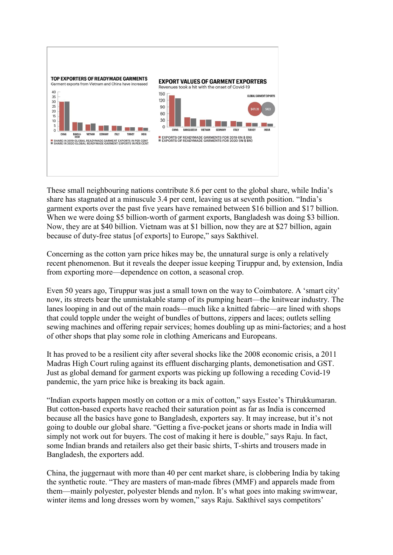

These small neighbouring nations contribute 8.6 per cent to the global share, while India's share has stagnated at a minuscule 3.4 per cent, leaving us at seventh position. "India's garment exports over the past five years have remained between \$16 billion and \$17 billion. When we were doing \$5 billion-worth of garment exports, Bangladesh was doing \$3 billion. Now, they are at \$40 billion. Vietnam was at \$1 billion, now they are at \$27 billion, again because of duty-free status [of exports] to Europe," says Sakthivel.

Concerning as the cotton yarn price hikes may be, the unnatural surge is only a relatively recent phenomenon. But it reveals the deeper issue keeping Tiruppur and, by extension, India from exporting more—dependence on cotton, a seasonal crop.

Even 50 years ago, Tiruppur was just a small town on the way to Coimbatore. A 'smart city' now, its streets bear the unmistakable stamp of its pumping heart—the knitwear industry. The lanes looping in and out of the main roads—much like a knitted fabric—are lined with shops that could topple under the weight of bundles of buttons, zippers and laces; outlets selling sewing machines and offering repair services; homes doubling up as mini-factories; and a host of other shops that play some role in clothing Americans and Europeans.

It has proved to be a resilient city after several shocks like the 2008 economic crisis, a 2011 Madras High Court ruling against its effluent discharging plants, demonetisation and GST. Just as global demand for garment exports was picking up following a receding Covid-19 pandemic, the yarn price hike is breaking its back again.

"Indian exports happen mostly on cotton or a mix of cotton," says Esstee's Thirukkumaran. But cotton-based exports have reached their saturation point as far as India is concerned because all the basics have gone to Bangladesh, exporters say. It may increase, but it's not going to double our global share. "Getting a five-pocket jeans or shorts made in India will simply not work out for buyers. The cost of making it here is double," says Raju. In fact, some Indian brands and retailers also get their basic shirts, T-shirts and trousers made in Bangladesh, the exporters add.

China, the juggernaut with more than 40 per cent market share, is clobbering India by taking the synthetic route. "They are masters of man-made fibres (MMF) and apparels made from them—mainly polyester, polyester blends and nylon. It's what goes into making swimwear, winter items and long dresses worn by women," says Raju. Sakthivel says competitors'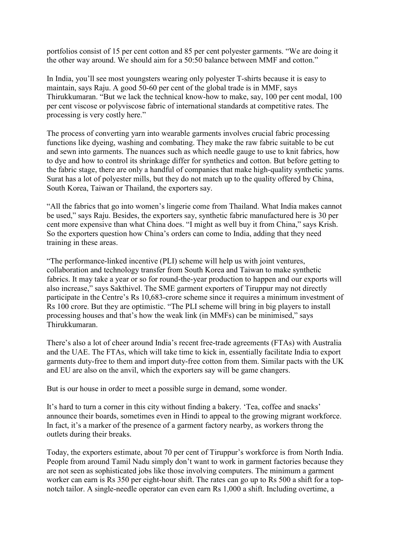portfolios consist of 15 per cent cotton and 85 per cent polyester garments. "We are doing it the other way around. We should aim for a 50:50 balance between MMF and cotton."

In India, you'll see most youngsters wearing only polyester T-shirts because it is easy to maintain, says Raju. A good 50-60 per cent of the global trade is in MMF, says Thirukkumaran. "But we lack the technical know-how to make, say, 100 per cent modal, 100 per cent viscose or polyviscose fabric of international standards at competitive rates. The processing is very costly here."

The process of converting yarn into wearable garments involves crucial fabric processing functions like dyeing, washing and combating. They make the raw fabric suitable to be cut and sewn into garments. The nuances such as which needle gauge to use to knit fabrics, how to dye and how to control its shrinkage differ for synthetics and cotton. But before getting to the fabric stage, there are only a handful of companies that make high-quality synthetic yarns. Surat has a lot of polyester mills, but they do not match up to the quality offered by China, South Korea, Taiwan or Thailand, the exporters say.

"All the fabrics that go into women's lingerie come from Thailand. What India makes cannot be used," says Raju. Besides, the exporters say, synthetic fabric manufactured here is 30 per cent more expensive than what China does. "I might as well buy it from China," says Krish. So the exporters question how China's orders can come to India, adding that they need training in these areas.

"The performance-linked incentive (PLI) scheme will help us with joint ventures, collaboration and technology transfer from South Korea and Taiwan to make synthetic fabrics. It may take a year or so for round-the-year production to happen and our exports will also increase," says Sakthivel. The SME garment exporters of Tiruppur may not directly participate in the Centre's Rs 10,683-crore scheme since it requires a minimum investment of Rs 100 crore. But they are optimistic. "The PLI scheme will bring in big players to install processing houses and that's how the weak link (in MMFs) can be minimised," says Thirukkumaran.

There's also a lot of cheer around India's recent free-trade agreements (FTAs) with Australia and the UAE. The FTAs, which will take time to kick in, essentially facilitate India to export garments duty-free to them and import duty-free cotton from them. Similar pacts with the UK and EU are also on the anvil, which the exporters say will be game changers.

But is our house in order to meet a possible surge in demand, some wonder.

It's hard to turn a corner in this city without finding a bakery. 'Tea, coffee and snacks' announce their boards, sometimes even in Hindi to appeal to the growing migrant workforce. In fact, it's a marker of the presence of a garment factory nearby, as workers throng the outlets during their breaks.

Today, the exporters estimate, about 70 per cent of Tiruppur's workforce is from North India. People from around Tamil Nadu simply don't want to work in garment factories because they are not seen as sophisticated jobs like those involving computers. The minimum a garment worker can earn is Rs 350 per eight-hour shift. The rates can go up to Rs 500 a shift for a topnotch tailor. A single-needle operator can even earn Rs 1,000 a shift. Including overtime, a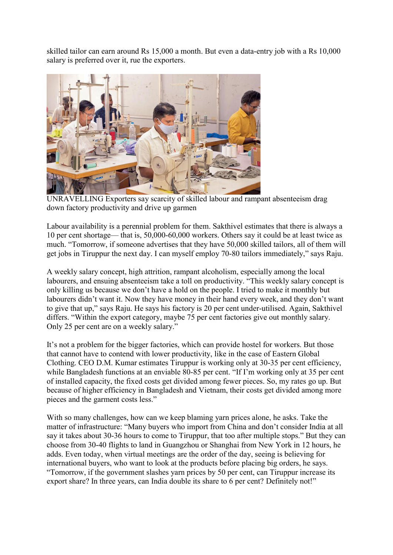skilled tailor can earn around Rs 15,000 a month. But even a data-entry job with a Rs 10,000 salary is preferred over it, rue the exporters.



UNRAVELLING Exporters say scarcity of skilled labour and rampant absenteeism drag down factory productivity and drive up garmen

Labour availability is a perennial problem for them. Sakthivel estimates that there is always a 10 per cent shortage— that is, 50,000-60,000 workers. Others say it could be at least twice as much. "Tomorrow, if someone advertises that they have 50,000 skilled tailors, all of them will get jobs in Tiruppur the next day. I can myself employ 70-80 tailors immediately," says Raju.

A weekly salary concept, high attrition, rampant alcoholism, especially among the local labourers, and ensuing absenteeism take a toll on productivity. "This weekly salary concept is only killing us because we don't have a hold on the people. I tried to make it monthly but labourers didn't want it. Now they have money in their hand every week, and they don't want to give that up," says Raju. He says his factory is 20 per cent under-utilised. Again, Sakthivel differs. "Within the export category, maybe 75 per cent factories give out monthly salary. Only 25 per cent are on a weekly salary."

It's not a problem for the bigger factories, which can provide hostel for workers. But those that cannot have to contend with lower productivity, like in the case of Eastern Global Clothing. CEO D.M. Kumar estimates Tiruppur is working only at 30-35 per cent efficiency, while Bangladesh functions at an enviable 80-85 per cent. "If I'm working only at 35 per cent of installed capacity, the fixed costs get divided among fewer pieces. So, my rates go up. But because of higher efficiency in Bangladesh and Vietnam, their costs get divided among more pieces and the garment costs less."

With so many challenges, how can we keep blaming yarn prices alone, he asks. Take the matter of infrastructure: "Many buyers who import from China and don't consider India at all say it takes about 30-36 hours to come to Tiruppur, that too after multiple stops." But they can choose from 30-40 flights to land in Guangzhou or Shanghai from New York in 12 hours, he adds. Even today, when virtual meetings are the order of the day, seeing is believing for international buyers, who want to look at the products before placing big orders, he says. "Tomorrow, if the government slashes yarn prices by 50 per cent, can Tiruppur increase its export share? In three years, can India double its share to 6 per cent? Definitely not!"